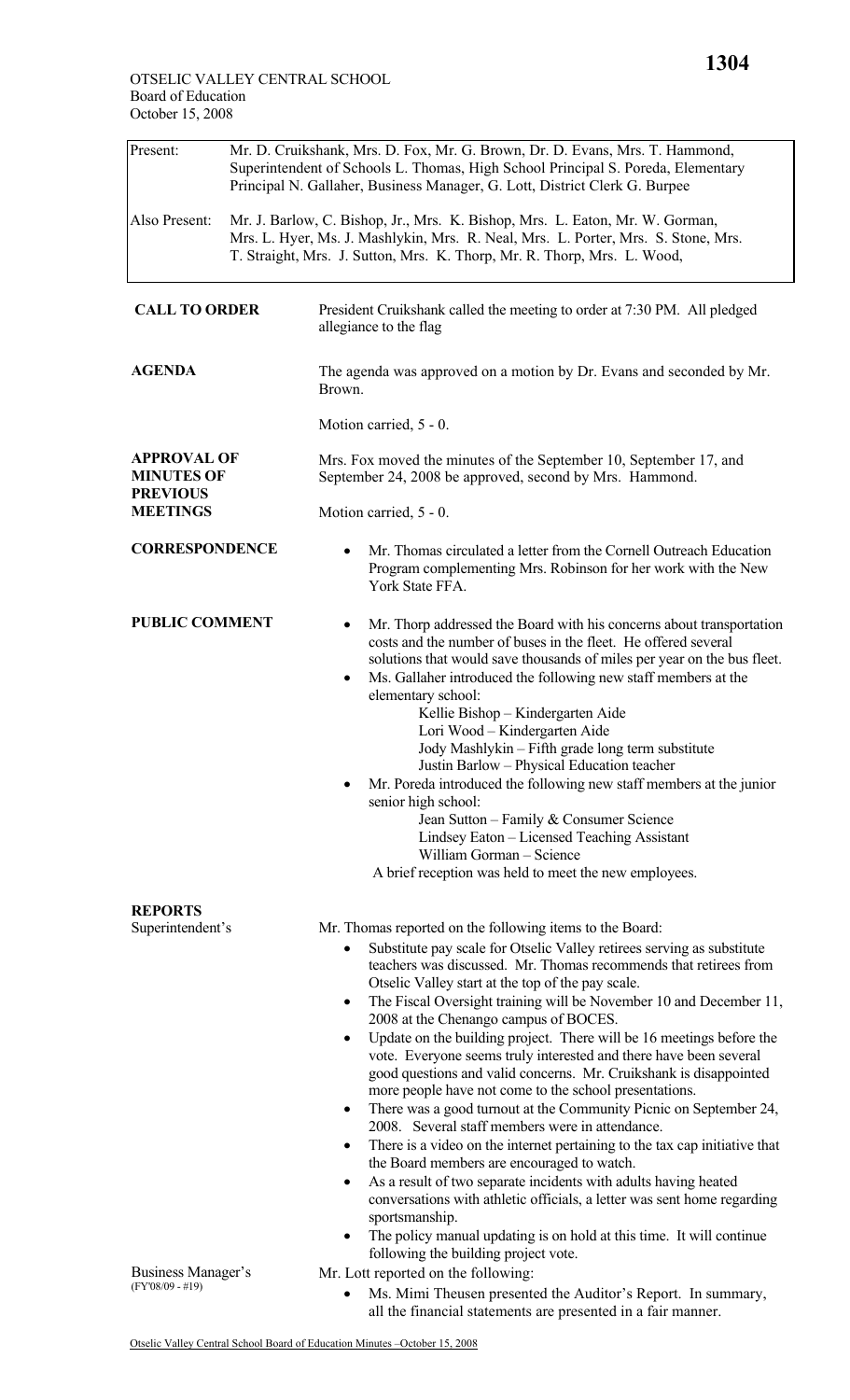| Present:                                                                      | Mr. D. Cruikshank, Mrs. D. Fox, Mr. G. Brown, Dr. D. Evans, Mrs. T. Hammond,<br>Superintendent of Schools L. Thomas, High School Principal S. Poreda, Elementary<br>Principal N. Gallaher, Business Manager, G. Lott, District Clerk G. Burpee |                                                                                                                                                                                                                                                                                                                                                                                                                                                                                                                                                                                                                                                                                                                                                                                                                                                                                                                                                                                                                                                                                                                                                                                                                                                  |  |  |  |
|-------------------------------------------------------------------------------|------------------------------------------------------------------------------------------------------------------------------------------------------------------------------------------------------------------------------------------------|--------------------------------------------------------------------------------------------------------------------------------------------------------------------------------------------------------------------------------------------------------------------------------------------------------------------------------------------------------------------------------------------------------------------------------------------------------------------------------------------------------------------------------------------------------------------------------------------------------------------------------------------------------------------------------------------------------------------------------------------------------------------------------------------------------------------------------------------------------------------------------------------------------------------------------------------------------------------------------------------------------------------------------------------------------------------------------------------------------------------------------------------------------------------------------------------------------------------------------------------------|--|--|--|
| Also Present:                                                                 | Mr. J. Barlow, C. Bishop, Jr., Mrs. K. Bishop, Mrs. L. Eaton, Mr. W. Gorman,<br>Mrs. L. Hyer, Ms. J. Mashlykin, Mrs. R. Neal, Mrs. L. Porter, Mrs. S. Stone, Mrs.<br>T. Straight, Mrs. J. Sutton, Mrs. K. Thorp, Mr. R. Thorp, Mrs. L. Wood,   |                                                                                                                                                                                                                                                                                                                                                                                                                                                                                                                                                                                                                                                                                                                                                                                                                                                                                                                                                                                                                                                                                                                                                                                                                                                  |  |  |  |
| <b>CALL TO ORDER</b>                                                          |                                                                                                                                                                                                                                                | President Cruikshank called the meeting to order at 7:30 PM. All pledged<br>allegiance to the flag                                                                                                                                                                                                                                                                                                                                                                                                                                                                                                                                                                                                                                                                                                                                                                                                                                                                                                                                                                                                                                                                                                                                               |  |  |  |
| <b>AGENDA</b>                                                                 |                                                                                                                                                                                                                                                | The agenda was approved on a motion by Dr. Evans and seconded by Mr.<br>Brown.                                                                                                                                                                                                                                                                                                                                                                                                                                                                                                                                                                                                                                                                                                                                                                                                                                                                                                                                                                                                                                                                                                                                                                   |  |  |  |
|                                                                               |                                                                                                                                                                                                                                                | Motion carried, 5 - 0.                                                                                                                                                                                                                                                                                                                                                                                                                                                                                                                                                                                                                                                                                                                                                                                                                                                                                                                                                                                                                                                                                                                                                                                                                           |  |  |  |
| <b>APPROVAL OF</b><br><b>MINUTES OF</b><br><b>PREVIOUS</b><br><b>MEETINGS</b> |                                                                                                                                                                                                                                                | Mrs. Fox moved the minutes of the September 10, September 17, and<br>September 24, 2008 be approved, second by Mrs. Hammond.                                                                                                                                                                                                                                                                                                                                                                                                                                                                                                                                                                                                                                                                                                                                                                                                                                                                                                                                                                                                                                                                                                                     |  |  |  |
|                                                                               |                                                                                                                                                                                                                                                | Motion carried, 5 - 0.                                                                                                                                                                                                                                                                                                                                                                                                                                                                                                                                                                                                                                                                                                                                                                                                                                                                                                                                                                                                                                                                                                                                                                                                                           |  |  |  |
| <b>CORRESPONDENCE</b>                                                         |                                                                                                                                                                                                                                                | Mr. Thomas circulated a letter from the Cornell Outreach Education<br>Program complementing Mrs. Robinson for her work with the New<br>York State FFA.                                                                                                                                                                                                                                                                                                                                                                                                                                                                                                                                                                                                                                                                                                                                                                                                                                                                                                                                                                                                                                                                                           |  |  |  |
| <b>PUBLIC COMMENT</b>                                                         |                                                                                                                                                                                                                                                | Mr. Thorp addressed the Board with his concerns about transportation<br>costs and the number of buses in the fleet. He offered several<br>solutions that would save thousands of miles per year on the bus fleet.<br>Ms. Gallaher introduced the following new staff members at the<br>$\bullet$<br>elementary school:<br>Kellie Bishop - Kindergarten Aide<br>Lori Wood - Kindergarten Aide<br>Jody Mashlykin - Fifth grade long term substitute<br>Justin Barlow - Physical Education teacher<br>Mr. Poreda introduced the following new staff members at the junior<br>senior high school:<br>Jean Sutton – Family & Consumer Science<br>Lindsey Eaton - Licensed Teaching Assistant<br>William Gorman - Science<br>A brief reception was held to meet the new employees.                                                                                                                                                                                                                                                                                                                                                                                                                                                                     |  |  |  |
| <b>REPORTS</b><br>Superintendent's                                            |                                                                                                                                                                                                                                                | Mr. Thomas reported on the following items to the Board:<br>Substitute pay scale for Otselic Valley retirees serving as substitute<br>teachers was discussed. Mr. Thomas recommends that retirees from<br>Otselic Valley start at the top of the pay scale.<br>The Fiscal Oversight training will be November 10 and December 11,<br>٠<br>2008 at the Chenango campus of BOCES.<br>Update on the building project. There will be 16 meetings before the<br>$\bullet$<br>vote. Everyone seems truly interested and there have been several<br>good questions and valid concerns. Mr. Cruikshank is disappointed<br>more people have not come to the school presentations.<br>There was a good turnout at the Community Picnic on September 24,<br>٠<br>2008. Several staff members were in attendance.<br>There is a video on the internet pertaining to the tax cap initiative that<br>$\bullet$<br>the Board members are encouraged to watch.<br>As a result of two separate incidents with adults having heated<br>٠<br>conversations with athletic officials, a letter was sent home regarding<br>sportsmanship.<br>The policy manual updating is on hold at this time. It will continue<br>$\bullet$<br>following the building project vote. |  |  |  |
| Business Manager's<br>$(FY'08/09 - #19)$                                      |                                                                                                                                                                                                                                                | Mr. Lott reported on the following:<br>Ms. Mimi Theusen presented the Auditor's Report. In summary,                                                                                                                                                                                                                                                                                                                                                                                                                                                                                                                                                                                                                                                                                                                                                                                                                                                                                                                                                                                                                                                                                                                                              |  |  |  |

all the financial statements are presented in a fair manner.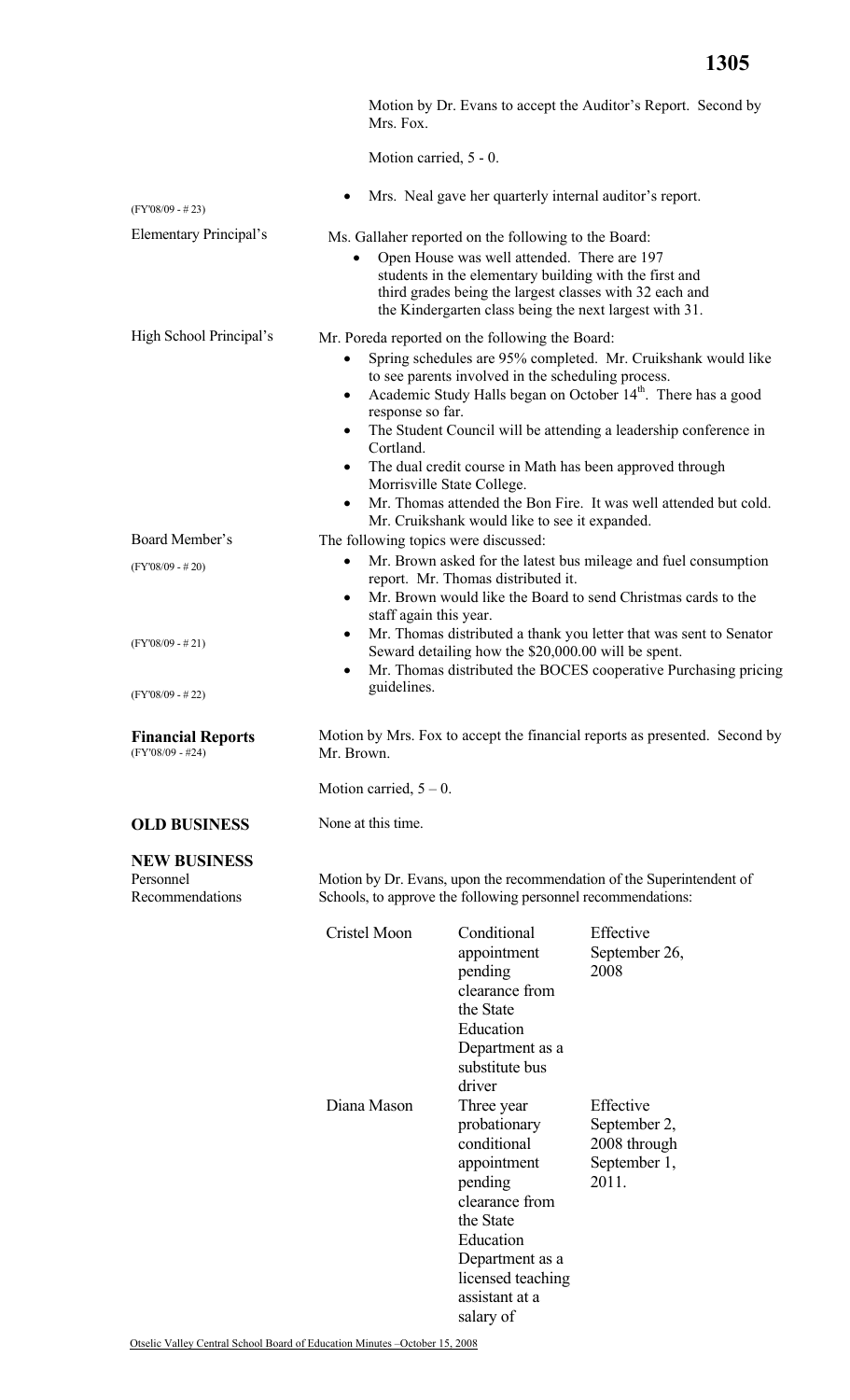|                                                     | Mrs. Fox.                                                                                                                                                                                                                                                                                                                                                                                                                                                                                                                                                                                                      |                                                                                                                                                                                                                                                                                    | Motion by Dr. Evans to accept the Auditor's Report. Second by         |  |
|-----------------------------------------------------|----------------------------------------------------------------------------------------------------------------------------------------------------------------------------------------------------------------------------------------------------------------------------------------------------------------------------------------------------------------------------------------------------------------------------------------------------------------------------------------------------------------------------------------------------------------------------------------------------------------|------------------------------------------------------------------------------------------------------------------------------------------------------------------------------------------------------------------------------------------------------------------------------------|-----------------------------------------------------------------------|--|
|                                                     | Motion carried, 5 - 0.                                                                                                                                                                                                                                                                                                                                                                                                                                                                                                                                                                                         |                                                                                                                                                                                                                                                                                    |                                                                       |  |
| $(FY'08/09 - #23)$                                  | $\bullet$                                                                                                                                                                                                                                                                                                                                                                                                                                                                                                                                                                                                      | Mrs. Neal gave her quarterly internal auditor's report.                                                                                                                                                                                                                            |                                                                       |  |
| Elementary Principal's                              | ٠                                                                                                                                                                                                                                                                                                                                                                                                                                                                                                                                                                                                              | Ms. Gallaher reported on the following to the Board:<br>Open House was well attended. There are 197<br>students in the elementary building with the first and<br>third grades being the largest classes with 32 each and<br>the Kindergarten class being the next largest with 31. |                                                                       |  |
| High School Principal's                             | Mr. Poreda reported on the following the Board:<br>Spring schedules are 95% completed. Mr. Cruikshank would like<br>to see parents involved in the scheduling process.<br>Academic Study Halls began on October 14 <sup>th</sup> . There has a good<br>$\bullet$<br>response so far.<br>The Student Council will be attending a leadership conference in<br>$\bullet$<br>Cortland.<br>The dual credit course in Math has been approved through<br>$\bullet$<br>Morrisville State College.<br>Mr. Thomas attended the Bon Fire. It was well attended but cold.<br>Mr. Cruikshank would like to see it expanded. |                                                                                                                                                                                                                                                                                    |                                                                       |  |
| Board Member's                                      | The following topics were discussed:                                                                                                                                                                                                                                                                                                                                                                                                                                                                                                                                                                           |                                                                                                                                                                                                                                                                                    |                                                                       |  |
|                                                     | $\bullet$                                                                                                                                                                                                                                                                                                                                                                                                                                                                                                                                                                                                      |                                                                                                                                                                                                                                                                                    | Mr. Brown asked for the latest bus mileage and fuel consumption       |  |
| $(FY'08/09 - #20)$                                  | report. Mr. Thomas distributed it.<br>Mr. Brown would like the Board to send Christmas cards to the<br>$\bullet$<br>staff again this year.<br>Mr. Thomas distributed a thank you letter that was sent to Senator<br>$\bullet$<br>Seward detailing how the \$20,000.00 will be spent.<br>Mr. Thomas distributed the BOCES cooperative Purchasing pricing<br>$\bullet$                                                                                                                                                                                                                                           |                                                                                                                                                                                                                                                                                    |                                                                       |  |
| $(FY'08/09 - #21)$                                  |                                                                                                                                                                                                                                                                                                                                                                                                                                                                                                                                                                                                                |                                                                                                                                                                                                                                                                                    |                                                                       |  |
| $(FY'08/09 - #22)$                                  | guidelines.                                                                                                                                                                                                                                                                                                                                                                                                                                                                                                                                                                                                    |                                                                                                                                                                                                                                                                                    |                                                                       |  |
| <b>Financial Reports</b><br>$(FY'08/09 - #24)$      | Motion by Mrs. Fox to accept the financial reports as presented. Second by<br>Mr. Brown.                                                                                                                                                                                                                                                                                                                                                                                                                                                                                                                       |                                                                                                                                                                                                                                                                                    |                                                                       |  |
|                                                     | Motion carried, $5 - 0$ .                                                                                                                                                                                                                                                                                                                                                                                                                                                                                                                                                                                      |                                                                                                                                                                                                                                                                                    |                                                                       |  |
| <b>OLD BUSINESS</b>                                 | None at this time.                                                                                                                                                                                                                                                                                                                                                                                                                                                                                                                                                                                             |                                                                                                                                                                                                                                                                                    |                                                                       |  |
| <b>NEW BUSINESS</b><br>Personnel<br>Recommendations |                                                                                                                                                                                                                                                                                                                                                                                                                                                                                                                                                                                                                | Schools, to approve the following personnel recommendations:                                                                                                                                                                                                                       | Motion by Dr. Evans, upon the recommendation of the Superintendent of |  |
|                                                     | Cristel Moon                                                                                                                                                                                                                                                                                                                                                                                                                                                                                                                                                                                                   | Conditional<br>appointment<br>pending<br>clearance from<br>the State<br>Education<br>Department as a<br>substitute bus<br>driver                                                                                                                                                   | Effective<br>September 26,<br>2008                                    |  |
|                                                     | Diana Mason                                                                                                                                                                                                                                                                                                                                                                                                                                                                                                                                                                                                    | Three year<br>probationary<br>conditional<br>appointment<br>pending<br>clearance from<br>the State<br>Education<br>Department as a<br>licensed teaching<br>assistant at a                                                                                                          | Effective<br>September 2,<br>2008 through<br>September 1,<br>2011.    |  |

salary of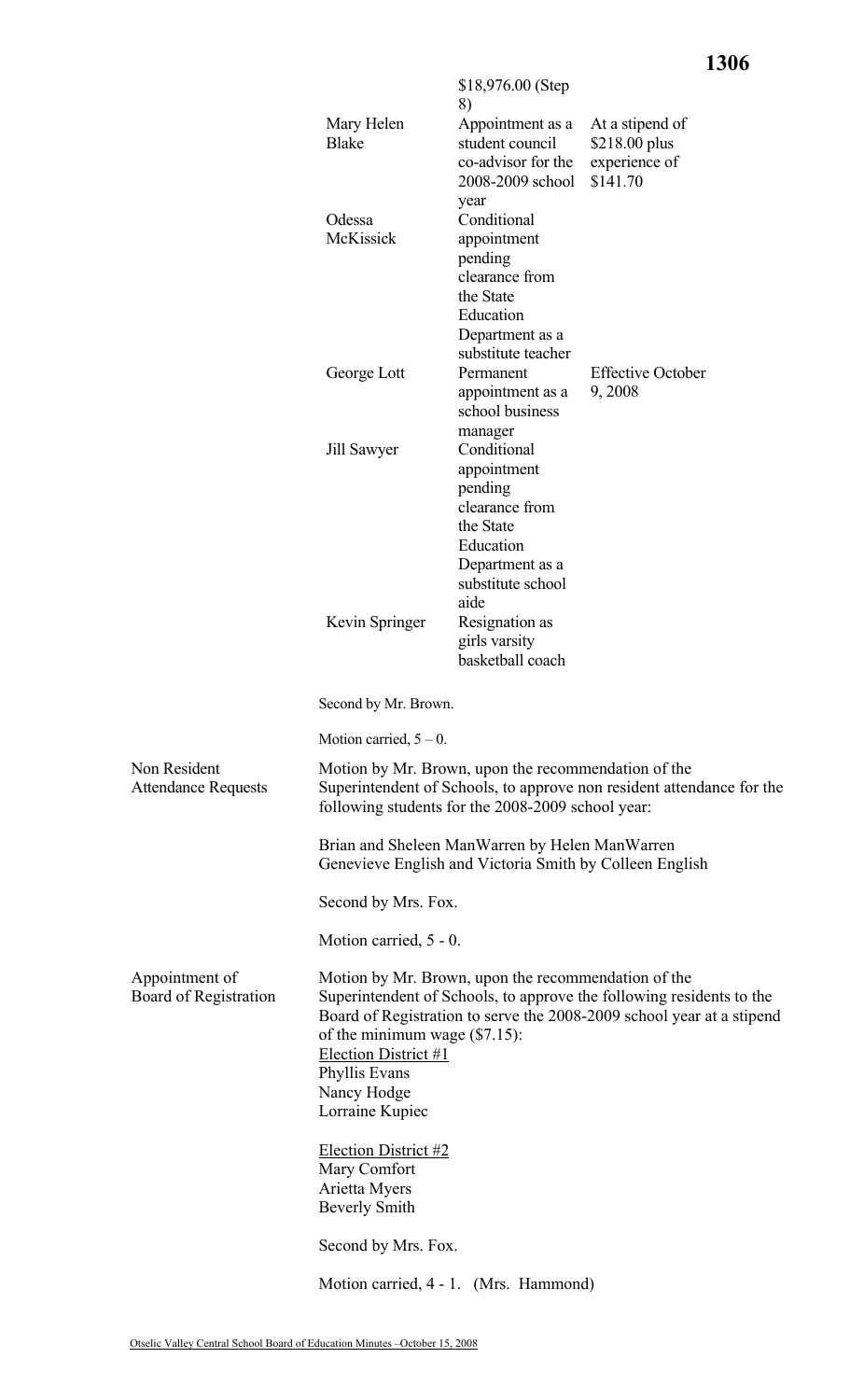**1306**

|                                            |                                                                                                                                                                                                                                                                                                                     | $$18,976.00$ (Step<br>8)                                                                                                           |                                                               |  |  |
|--------------------------------------------|---------------------------------------------------------------------------------------------------------------------------------------------------------------------------------------------------------------------------------------------------------------------------------------------------------------------|------------------------------------------------------------------------------------------------------------------------------------|---------------------------------------------------------------|--|--|
|                                            | Mary Helen<br>Blake                                                                                                                                                                                                                                                                                                 | Appointment as a<br>student council<br>co-advisor for the<br>2008-2009 school                                                      | At a stipend of<br>\$218.00 plus<br>experience of<br>\$141.70 |  |  |
|                                            | Odessa<br>McKissick                                                                                                                                                                                                                                                                                                 | year<br>Conditional<br>appointment<br>pending<br>clearance from<br>the State<br>Education<br>Department as a<br>substitute teacher |                                                               |  |  |
|                                            | George Lott                                                                                                                                                                                                                                                                                                         | Permanent<br>appointment as a<br>school business<br>manager                                                                        | <b>Effective October</b><br>9,2008                            |  |  |
|                                            | Jill Sawyer                                                                                                                                                                                                                                                                                                         | Conditional<br>appointment<br>pending<br>clearance from<br>the State<br>Education<br>Department as a<br>substitute school<br>aide  |                                                               |  |  |
|                                            | Kevin Springer                                                                                                                                                                                                                                                                                                      | Resignation as<br>girls varsity<br>basketball coach                                                                                |                                                               |  |  |
|                                            | Second by Mr. Brown.                                                                                                                                                                                                                                                                                                |                                                                                                                                    |                                                               |  |  |
|                                            | Motion carried, $5 - 0$ .                                                                                                                                                                                                                                                                                           |                                                                                                                                    |                                                               |  |  |
| Non Resident<br><b>Attendance Requests</b> | Motion by Mr. Brown, upon the recommendation of the<br>Superintendent of Schools, to approve non resident attendance for the<br>following students for the 2008-2009 school year:                                                                                                                                   |                                                                                                                                    |                                                               |  |  |
|                                            | Brian and Sheleen ManWarren by Helen ManWarren<br>Genevieve English and Victoria Smith by Colleen English                                                                                                                                                                                                           |                                                                                                                                    |                                                               |  |  |
|                                            | Second by Mrs. Fox.                                                                                                                                                                                                                                                                                                 |                                                                                                                                    |                                                               |  |  |
|                                            | Motion carried, 5 - 0.                                                                                                                                                                                                                                                                                              |                                                                                                                                    |                                                               |  |  |
| Appointment of<br>Board of Registration    | Motion by Mr. Brown, upon the recommendation of the<br>Superintendent of Schools, to approve the following residents to the<br>Board of Registration to serve the 2008-2009 school year at a stipend<br>of the minimum wage $(\$7.15)$ :<br>Election District #1<br>Phyllis Evans<br>Nancy Hodge<br>Lorraine Kupiec |                                                                                                                                    |                                                               |  |  |
|                                            | Election District #2<br>Mary Comfort<br>Arietta Myers<br><b>Beverly Smith</b>                                                                                                                                                                                                                                       |                                                                                                                                    |                                                               |  |  |
|                                            | Second by Mrs. Fox.                                                                                                                                                                                                                                                                                                 |                                                                                                                                    |                                                               |  |  |
|                                            | Motion carried, 4 - 1. (Mrs. Hammond)                                                                                                                                                                                                                                                                               |                                                                                                                                    |                                                               |  |  |